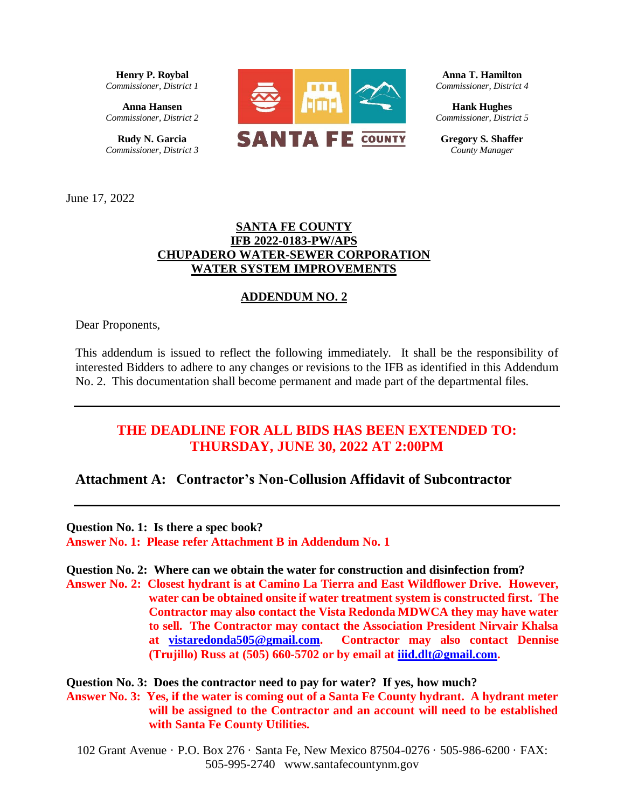**Henry P. Roybal** *Commissioner, District 1*

**Anna Hansen** *Commissioner, District 2*

**Rudy N. Garcia**  *Commissioner, District 3*



**Anna T. Hamilton** *Commissioner, District 4*

**Hank Hughes** *Commissioner, District 5*

**Gregory S. Shaffer** *County Manager*

June 17, 2022

### **SANTA FE COUNTY IFB 2022-0183-PW/APS CHUPADERO WATER-SEWER CORPORATION WATER SYSTEM IMPROVEMENTS**

### **ADDENDUM NO. 2**

Dear Proponents,

This addendum is issued to reflect the following immediately. It shall be the responsibility of interested Bidders to adhere to any changes or revisions to the IFB as identified in this Addendum No. 2. This documentation shall become permanent and made part of the departmental files.

# **THE DEADLINE FOR ALL BIDS HAS BEEN EXTENDED TO: THURSDAY, JUNE 30, 2022 AT 2:00PM**

# **Attachment A: Contractor's Non-Collusion Affidavit of Subcontractor**

**Question No. 1: Is there a spec book? Answer No. 1: Please refer Attachment B in Addendum No. 1**

**Question No. 2: Where can we obtain the water for construction and disinfection from?**

**Answer No. 2: Closest hydrant is at Camino La Tierra and East Wildflower Drive. However, water can be obtained onsite if water treatment system is constructed first. The Contractor may also contact the Vista Redonda MDWCA they may have water to sell. The Contractor may contact the Association President Nirvair Khalsa at [vistaredonda505@gmail.com.](mailto:vistaredonda505@gmail.com) Contractor may also contact Dennise (Trujillo) Russ at (505) 660-5702 or by email at [iiid.dlt@gmail.com.](mailto:iiid.dlt@gmail.com)**

**Question No. 3: Does the contractor need to pay for water? If yes, how much? Answer No. 3: Yes, if the water is coming out of a Santa Fe County hydrant. A hydrant meter will be assigned to the Contractor and an account will need to be established with Santa Fe County Utilities.**

102 Grant Avenue · P.O. Box 276 · Santa Fe, New Mexico 87504-0276 · 505-986-6200 · FAX: 505-995-2740 www.santafecountynm.gov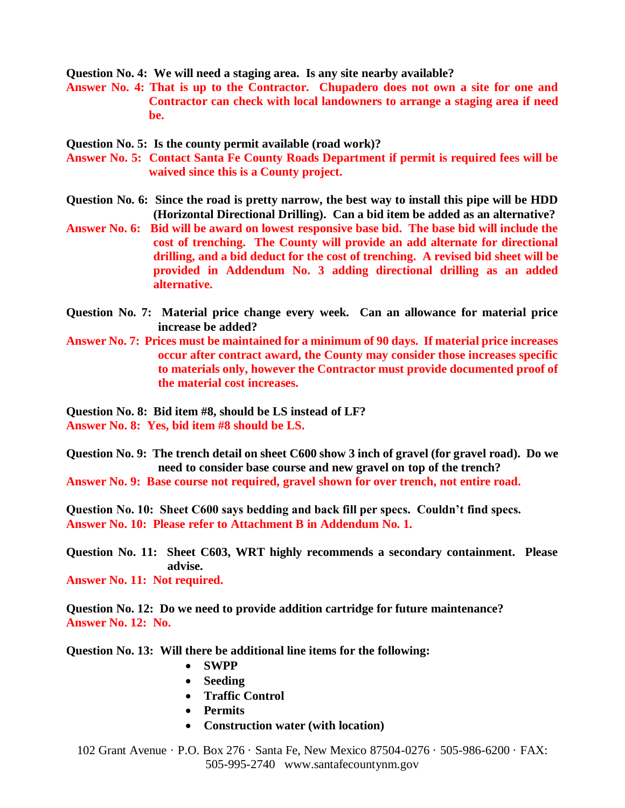**Question No. 4: We will need a staging area. Is any site nearby available?**

- **Answer No. 4: That is up to the Contractor. Chupadero does not own a site for one and Contractor can check with local landowners to arrange a staging area if need be.**
- **Question No. 5: Is the county permit available (road work)?**
- **Answer No. 5: Contact Santa Fe County Roads Department if permit is required fees will be waived since this is a County project.**
- **Question No. 6: Since the road is pretty narrow, the best way to install this pipe will be HDD (Horizontal Directional Drilling). Can a bid item be added as an alternative?**
- **Answer No. 6: Bid will be award on lowest responsive base bid. The base bid will include the cost of trenching. The County will provide an add alternate for directional drilling, and a bid deduct for the cost of trenching. A revised bid sheet will be provided in Addendum No. 3 adding directional drilling as an added alternative.**
- **Question No. 7: Material price change every week. Can an allowance for material price increase be added?**
- **Answer No. 7: Prices must be maintained for a minimum of 90 days. If material price increases occur after contract award, the County may consider those increases specific to materials only, however the Contractor must provide documented proof of the material cost increases.**

**Question No. 8: Bid item #8, should be LS instead of LF? Answer No. 8: Yes, bid item #8 should be LS.**

**Question No. 9: The trench detail on sheet C600 show 3 inch of gravel (for gravel road). Do we need to consider base course and new gravel on top of the trench? Answer No. 9: Base course not required, gravel shown for over trench, not entire road.** 

**Question No. 10: Sheet C600 says bedding and back fill per specs. Couldn't find specs. Answer No. 10: Please refer to Attachment B in Addendum No. 1.**

**Question No. 11: Sheet C603, WRT highly recommends a secondary containment. Please advise.**

**Answer No. 11: Not required.**

**Question No. 12: Do we need to provide addition cartridge for future maintenance? Answer No. 12: No.**

**Question No. 13: Will there be additional line items for the following:**

- **SWPP**
- **Seeding**
- **Traffic Control**
- **Permits**
- **Construction water (with location)**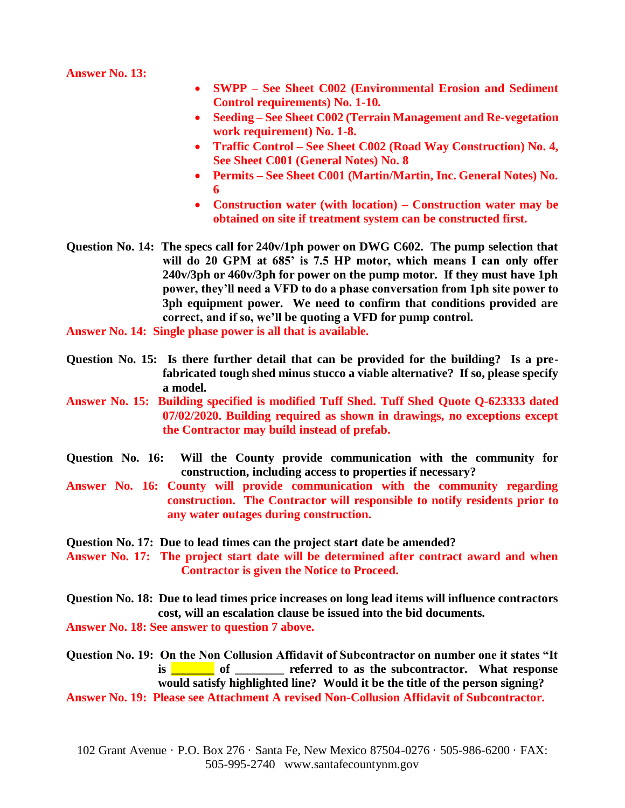**Answer No. 13:** 

- **SWPP – See Sheet C002 (Environmental Erosion and Sediment Control requirements) No. 1-10.**
- **Seeding – See Sheet C002 (Terrain Management and Re-vegetation work requirement) No. 1-8.**
- **Traffic Control – See Sheet C002 (Road Way Construction) No. 4, See Sheet C001 (General Notes) No. 8**
- **Permits – See Sheet C001 (Martin/Martin, Inc. General Notes) No. 6**
- **Construction water (with location) – Construction water may be obtained on site if treatment system can be constructed first.**
- **Question No. 14: The specs call for 240v/1ph power on DWG C602. The pump selection that will do 20 GPM at 685' is 7.5 HP motor, which means I can only offer 240v/3ph or 460v/3ph for power on the pump motor. If they must have 1ph power, they'll need a VFD to do a phase conversation from 1ph site power to 3ph equipment power. We need to confirm that conditions provided are correct, and if so, we'll be quoting a VFD for pump control.**

**Answer No. 14: Single phase power is all that is available.**

- **Question No. 15: Is there further detail that can be provided for the building? Is a prefabricated tough shed minus stucco a viable alternative? If so, please specify a model.**
- **Answer No. 15: Building specified is modified Tuff Shed. Tuff Shed Quote Q-623333 dated 07/02/2020. Building required as shown in drawings, no exceptions except the Contractor may build instead of prefab.**
- **Question No. 16: Will the County provide communication with the community for construction, including access to properties if necessary?**
- **Answer No. 16: County will provide communication with the community regarding construction. The Contractor will responsible to notify residents prior to any water outages during construction.**
- **Question No. 17: Due to lead times can the project start date be amended?**

**Answer No. 17: The project start date will be determined after contract award and when Contractor is given the Notice to Proceed.**

**Question No. 18: Due to lead times price increases on long lead items will influence contractors cost, will an escalation clause be issued into the bid documents.**

**Answer No. 18: See answer to question 7 above.**

**Question No. 19: On the Non Collusion Affidavit of Subcontractor on number one it states "It is is the subcontractor.** What response **is the subcontractor**. What response **would satisfy highlighted line? Would it be the title of the person signing?**

**Answer No. 19: Please see Attachment A revised Non-Collusion Affidavit of Subcontractor.**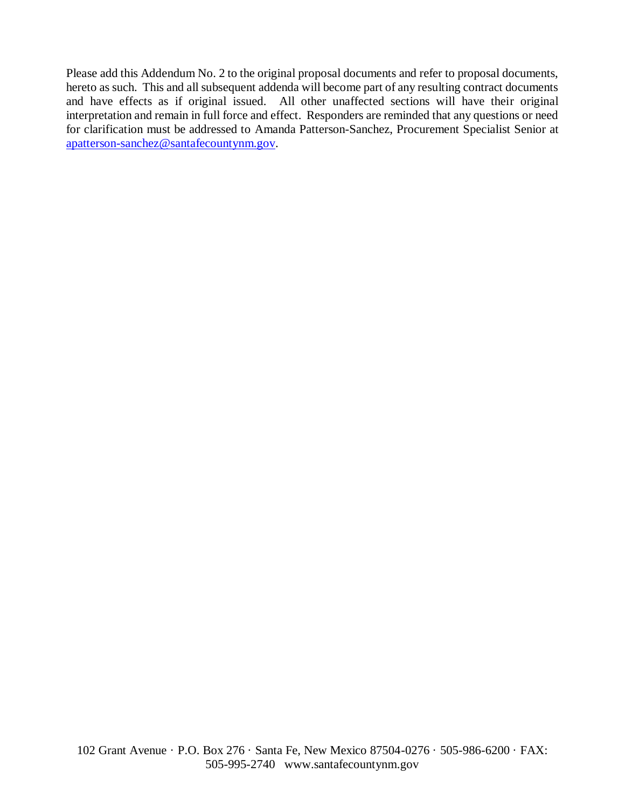Please add this Addendum No. 2 to the original proposal documents and refer to proposal documents, hereto as such. This and all subsequent addenda will become part of any resulting contract documents and have effects as if original issued. All other unaffected sections will have their original interpretation and remain in full force and effect. Responders are reminded that any questions or need for clarification must be addressed to Amanda Patterson-Sanchez, Procurement Specialist Senior at [apatterson-sanchez@santafecountynm.gov.](mailto:apatterson-sanchez@santafecountynm.gov)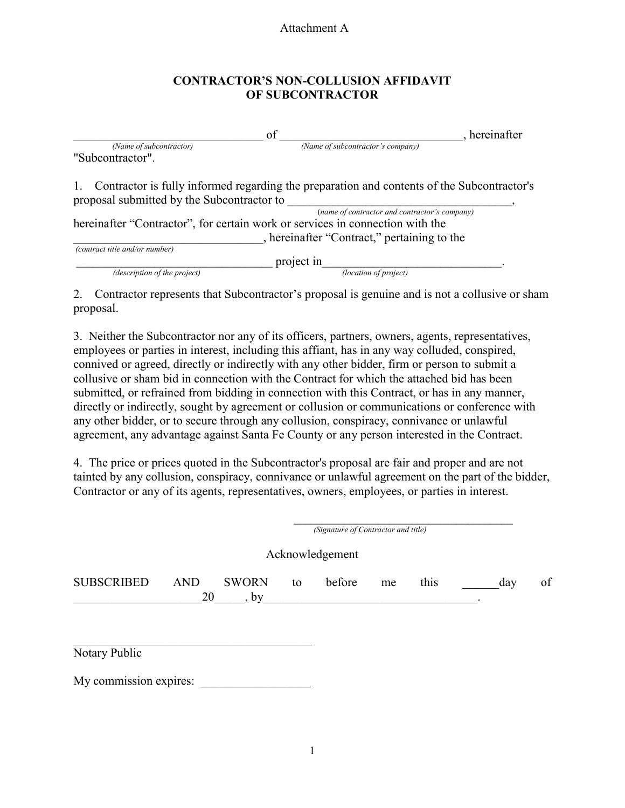#### Attachment A

### **CONTRACTOR'S NON-COLLUSION AFFIDAVIT OF SUBCONTRACTOR**

|                                                                               | of                                                                                         | hereinafter |  |
|-------------------------------------------------------------------------------|--------------------------------------------------------------------------------------------|-------------|--|
| (Name of subcontractor)                                                       | (Name of subcontractor's company)                                                          |             |  |
| "Subcontractor".                                                              |                                                                                            |             |  |
| 1.<br>proposal submitted by the Subcontractor to                              | Contractor is fully informed regarding the preparation and contents of the Subcontractor's |             |  |
|                                                                               | (name of contractor and contractor's company)                                              |             |  |
| hereinafter "Contractor", for certain work or services in connection with the |                                                                                            |             |  |
|                                                                               | , hereinafter "Contract," pertaining to the                                                |             |  |
| (contract title and/or number)                                                |                                                                                            |             |  |
|                                                                               | project in                                                                                 |             |  |
| (description of the project)                                                  | (location of project)                                                                      |             |  |

2. Contractor represents that Subcontractor's proposal is genuine and is not a collusive or sham proposal.

3. Neither the Subcontractor nor any of its officers, partners, owners, agents, representatives, employees or parties in interest, including this affiant, has in any way colluded, conspired, connived or agreed, directly or indirectly with any other bidder, firm or person to submit a collusive or sham bid in connection with the Contract for which the attached bid has been submitted, or refrained from bidding in connection with this Contract, or has in any manner, directly or indirectly, sought by agreement or collusion or communications or conference with any other bidder, or to secure through any collusion, conspiracy, connivance or unlawful agreement, any advantage against Santa Fe County or any person interested in the Contract.

4. The price or prices quoted in the Subcontractor's proposal are fair and proper and are not tainted by any collusion, conspiracy, connivance or unlawful agreement on the part of the bidder, Contractor or any of its agents, representatives, owners, employees, or parties in interest.

|                   | (Signature of Contractor and title) |                      |    |                 |    |      |  |     |    |
|-------------------|-------------------------------------|----------------------|----|-----------------|----|------|--|-----|----|
|                   |                                     |                      |    | Acknowledgement |    |      |  |     |    |
| <b>SUBSCRIBED</b> | <b>AND</b><br>20                    | <b>SWORN</b><br>, by | to | before          | me | this |  | day | of |
| Notary Public     |                                     |                      |    |                 |    |      |  |     |    |

My commission expires: